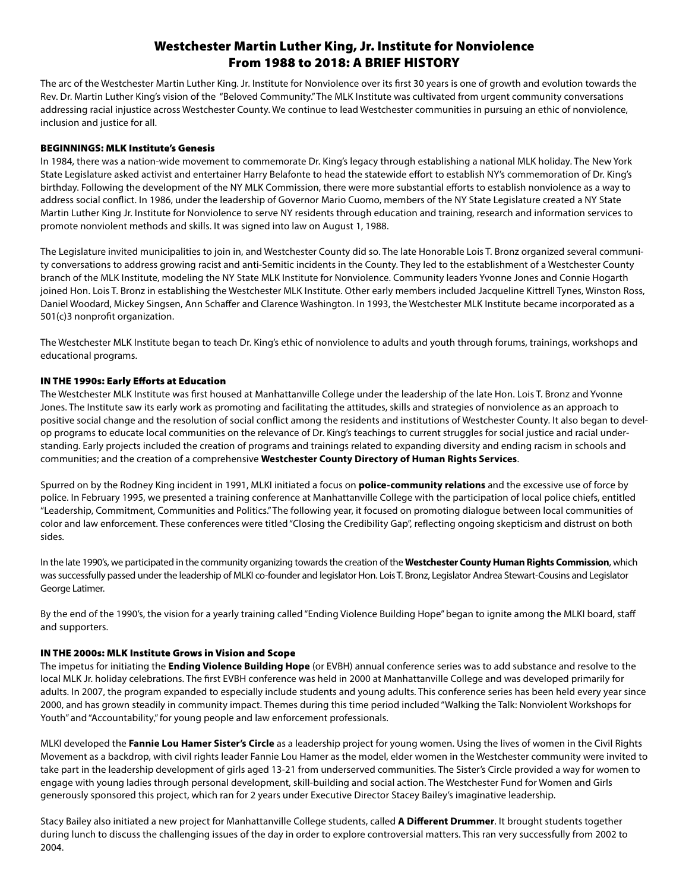# Westchester Martin Luther King, Jr. Institute for Nonviolence From 1988 to 2018: A BRIEF HISTORY

The arc of the Westchester Martin Luther King. Jr. Institute for Nonviolence over its first 30 years is one of growth and evolution towards the Rev. Dr. Martin Luther King's vision of the "Beloved Community." The MLK Institute was cultivated from urgent community conversations addressing racial injustice across Westchester County. We continue to lead Westchester communities in pursuing an ethic of nonviolence, inclusion and justice for all.

## BEGINNINGS: MLK Institute's Genesis

In 1984, there was a nation-wide movement to commemorate Dr. King's legacy through establishing a national MLK holiday. The New York State Legislature asked activist and entertainer Harry Belafonte to head the statewide effort to establish NY's commemoration of Dr. King's birthday. Following the development of the NY MLK Commission, there were more substantial efforts to establish nonviolence as a way to address social conflict. In 1986, under the leadership of Governor Mario Cuomo, members of the NY State Legislature created a NY State Martin Luther King Jr. Institute for Nonviolence to serve NY residents through education and training, research and information services to promote nonviolent methods and skills. It was signed into law on August 1, 1988.

The Legislature invited municipalities to join in, and Westchester County did so. The late Honorable Lois T. Bronz organized several community conversations to address growing racist and anti-Semitic incidents in the County. They led to the establishment of a Westchester County branch of the MLK Institute, modeling the NY State MLK Institute for Nonviolence. Community leaders Yvonne Jones and Connie Hogarth joined Hon. Lois T. Bronz in establishing the Westchester MLK Institute. Other early members included Jacqueline Kittrell Tynes, Winston Ross, Daniel Woodard, Mickey Singsen, Ann Schaffer and Clarence Washington. In 1993, the Westchester MLK Institute became incorporated as a 501(c)3 nonprofit organization.

The Westchester MLK Institute began to teach Dr. King's ethic of nonviolence to adults and youth through forums, trainings, workshops and educational programs.

## IN THE 1990s: Early Efforts at Education

The Westchester MLK Institute was first housed at Manhattanville College under the leadership of the late Hon. Lois T. Bronz and Yvonne Jones. The Institute saw its early work as promoting and facilitating the attitudes, skills and strategies of nonviolence as an approach to positive social change and the resolution of social conflict among the residents and institutions of Westchester County. It also began to develop programs to educate local communities on the relevance of Dr. King's teachings to current struggles for social justice and racial understanding. Early projects included the creation of programs and trainings related to expanding diversity and ending racism in schools and communities; and the creation of a comprehensive **Westchester County Directory of Human Rights Services**.

Spurred on by the Rodney King incident in 1991, MLKI initiated a focus on **police-community relations** and the excessive use of force by police. In February 1995, we presented a training conference at Manhattanville College with the participation of local police chiefs, entitled "Leadership, Commitment, Communities and Politics." The following year, it focused on promoting dialogue between local communities of color and law enforcement. These conferences were titled "Closing the Credibility Gap", reflecting ongoing skepticism and distrust on both sides.

In the late 1990's, we participated in the community organizing towards the creation of the **Westchester County Human Rights Commission**, which was successfully passed under the leadership of MLKI co-founder and legislator Hon. Lois T. Bronz, Legislator Andrea Stewart-Cousins and Legislator George Latimer.

By the end of the 1990's, the vision for a yearly training called "Ending Violence Building Hope" began to ignite among the MLKI board, staff and supporters.

### IN THE 2000s: MLK Institute Grows in Vision and Scope

The impetus for initiating the **Ending Violence Building Hope** (or EVBH) annual conference series was to add substance and resolve to the local MLK Jr. holiday celebrations. The first EVBH conference was held in 2000 at Manhattanville College and was developed primarily for adults. In 2007, the program expanded to especially include students and young adults. This conference series has been held every year since 2000, and has grown steadily in community impact. Themes during this time period included "Walking the Talk: Nonviolent Workshops for Youth" and "Accountability," for young people and law enforcement professionals.

MLKI developed the **Fannie Lou Hamer Sister's Circle** as a leadership project for young women. Using the lives of women in the Civil Rights Movement as a backdrop, with civil rights leader Fannie Lou Hamer as the model, elder women in the Westchester community were invited to take part in the leadership development of girls aged 13-21 from underserved communities. The Sister's Circle provided a way for women to engage with young ladies through personal development, skill-building and social action. The Westchester Fund for Women and Girls generously sponsored this project, which ran for 2 years under Executive Director Stacey Bailey's imaginative leadership.

Stacy Bailey also initiated a new project for Manhattanville College students, called **A Different Drummer**. It brought students together during lunch to discuss the challenging issues of the day in order to explore controversial matters. This ran very successfully from 2002 to 2004.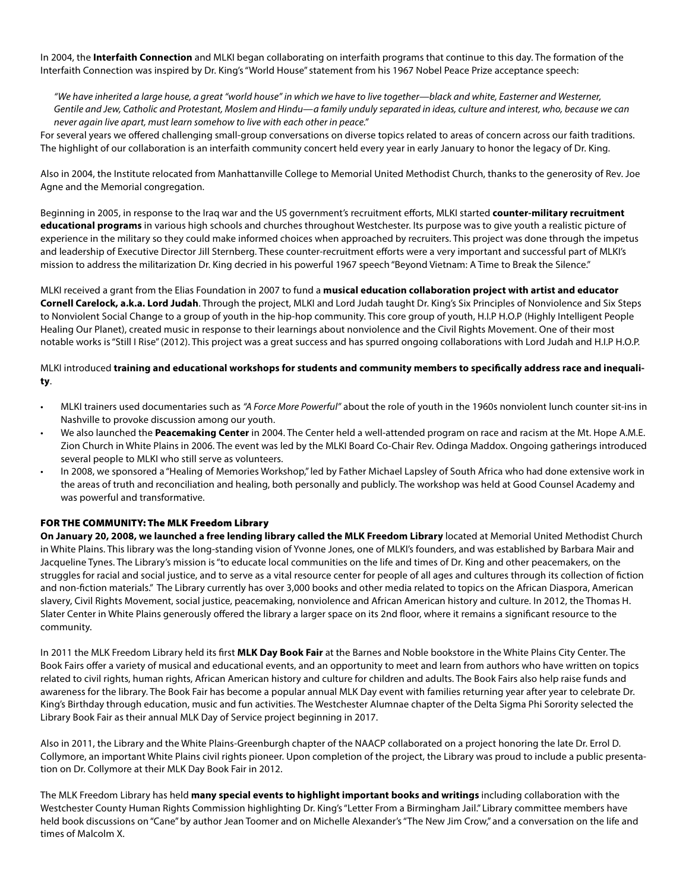In 2004, the **Interfaith Connection** and MLKI began collaborating on interfaith programs that continue to this day. The formation of the Interfaith Connection was inspired by Dr. King's "World House" statement from his 1967 Nobel Peace Prize acceptance speech:

*"We have inherited a large house, a great "world house" in which we have to live together—black and white, Easterner and Westerner, Gentile and Jew, Catholic and Protestant, Moslem and Hindu—a family unduly separated in ideas, culture and interest, who, because we can never again live apart, must learn somehow to live with each other in peace."*

For several years we offered challenging small-group conversations on diverse topics related to areas of concern across our faith traditions. The highlight of our collaboration is an interfaith community concert held every year in early January to honor the legacy of Dr. King.

Also in 2004, the Institute relocated from Manhattanville College to Memorial United Methodist Church, thanks to the generosity of Rev. Joe Agne and the Memorial congregation.

Beginning in 2005, in response to the Iraq war and the US government's recruitment efforts, MLKI started **counter-military recruitment educational programs** in various high schools and churches throughout Westchester. Its purpose was to give youth a realistic picture of experience in the military so they could make informed choices when approached by recruiters. This project was done through the impetus and leadership of Executive Director Jill Sternberg. These counter-recruitment efforts were a very important and successful part of MLKI's mission to address the militarization Dr. King decried in his powerful 1967 speech "Beyond Vietnam: A Time to Break the Silence."

MLKI received a grant from the Elias Foundation in 2007 to fund a **musical education collaboration project with artist and educator Cornell Carelock, a.k.a. Lord Judah**. Through the project, MLKI and Lord Judah taught Dr. King's Six Principles of Nonviolence and Six Steps to Nonviolent Social Change to a group of youth in the hip-hop community. This core group of youth, H.I.P H.O.P (Highly Intelligent People Healing Our Planet), created music in response to their learnings about nonviolence and the Civil Rights Movement. One of their most notable works is "Still I Rise" (2012). This project was a great success and has spurred ongoing collaborations with Lord Judah and H.I.P H.O.P.

## MLKI introduced **training and educational workshops for students and community members to specifically address race and inequality**.

- MLKI trainers used documentaries such as *"A Force More Powerful"* about the role of youth in the 1960s nonviolent lunch counter sit-ins in Nashville to provoke discussion among our youth.
- We also launched the **Peacemaking Center** in 2004. The Center held a well-attended program on race and racism at the Mt. Hope A.M.E. Zion Church in White Plains in 2006. The event was led by the MLKI Board Co-Chair Rev. Odinga Maddox. Ongoing gatherings introduced several people to MLKI who still serve as volunteers.
- In 2008, we sponsored a "Healing of Memories Workshop," led by Father Michael Lapsley of South Africa who had done extensive work in the areas of truth and reconciliation and healing, both personally and publicly. The workshop was held at Good Counsel Academy and was powerful and transformative.

## FOR THE COMMUNITY: The MLK Freedom Library

**On January 20, 2008, we launched a free lending library called the MLK Freedom Library** located at Memorial United Methodist Church in White Plains. This library was the long-standing vision of Yvonne Jones, one of MLKI's founders, and was established by Barbara Mair and Jacqueline Tynes. The Library's mission is "to educate local communities on the life and times of Dr. King and other peacemakers, on the struggles for racial and social justice, and to serve as a vital resource center for people of all ages and cultures through its collection of fiction and non-fiction materials." The Library currently has over 3,000 books and other media related to topics on the African Diaspora, American slavery, Civil Rights Movement, social justice, peacemaking, nonviolence and African American history and culture. In 2012, the Thomas H. Slater Center in White Plains generously offered the library a larger space on its 2nd floor, where it remains a significant resource to the community.

In 2011 the MLK Freedom Library held its first **MLK Day Book Fair** at the Barnes and Noble bookstore in the White Plains City Center. The Book Fairs offer a variety of musical and educational events, and an opportunity to meet and learn from authors who have written on topics related to civil rights, human rights, African American history and culture for children and adults. The Book Fairs also help raise funds and awareness for the library. The Book Fair has become a popular annual MLK Day event with families returning year after year to celebrate Dr. King's Birthday through education, music and fun activities. The Westchester Alumnae chapter of the Delta Sigma Phi Sorority selected the Library Book Fair as their annual MLK Day of Service project beginning in 2017.

Also in 2011, the Library and the White Plains-Greenburgh chapter of the NAACP collaborated on a project honoring the late Dr. Errol D. Collymore, an important White Plains civil rights pioneer. Upon completion of the project, the Library was proud to include a public presentation on Dr. Collymore at their MLK Day Book Fair in 2012.

The MLK Freedom Library has held **many special events to highlight important books and writings** including collaboration with the Westchester County Human Rights Commission highlighting Dr. King's "Letter From a Birmingham Jail." Library committee members have held book discussions on "Cane" by author Jean Toomer and on Michelle Alexander's "The New Jim Crow," and a conversation on the life and times of Malcolm X.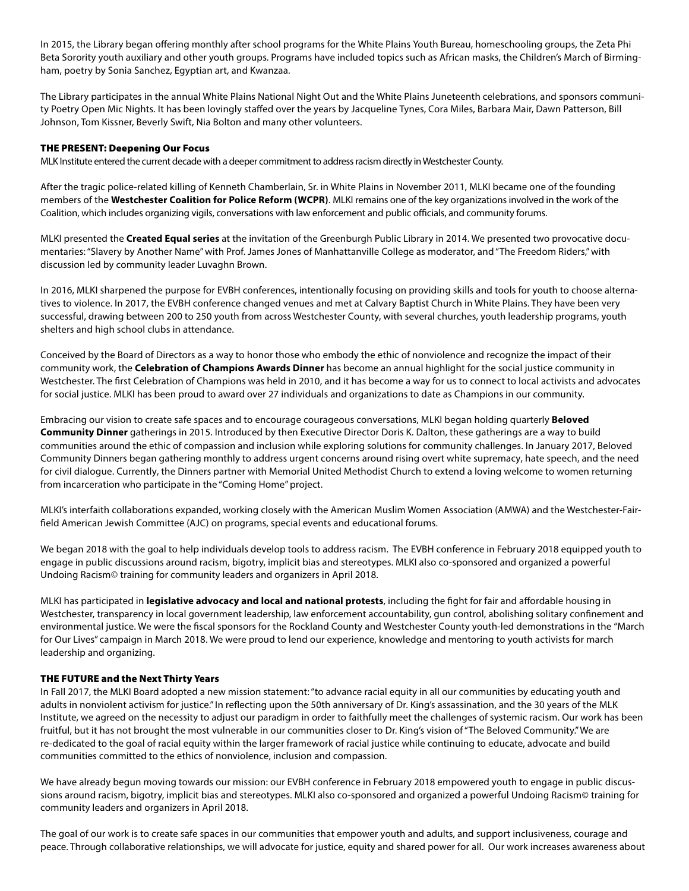In 2015, the Library began offering monthly after school programs for the White Plains Youth Bureau, homeschooling groups, the Zeta Phi Beta Sorority youth auxiliary and other youth groups. Programs have included topics such as African masks, the Children's March of Birmingham, poetry by Sonia Sanchez, Egyptian art, and Kwanzaa.

The Library participates in the annual White Plains National Night Out and the White Plains Juneteenth celebrations, and sponsors community Poetry Open Mic Nights. It has been lovingly staffed over the years by Jacqueline Tynes, Cora Miles, Barbara Mair, Dawn Patterson, Bill Johnson, Tom Kissner, Beverly Swift, Nia Bolton and many other volunteers.

### THE PRESENT: Deepening Our Focus

MLK Institute entered the current decade with a deeper commitment to address racism directly in Westchester County.

After the tragic police-related killing of Kenneth Chamberlain, Sr. in White Plains in November 2011, MLKI became one of the founding members of the **Westchester Coalition for Police Reform (WCPR)**. MLKI remains one of the key organizations involved in the work of the Coalition, which includes organizing vigils, conversations with law enforcement and public officials, and community forums.

MLKI presented the **Created Equal series** at the invitation of the Greenburgh Public Library in 2014. We presented two provocative documentaries: "Slavery by Another Name"with Prof. James Jones of Manhattanville College as moderator, and "The Freedom Riders,"with discussion led by community leader Luvaghn Brown.

In 2016, MLKI sharpened the purpose for EVBH conferences, intentionally focusing on providing skills and tools for youth to choose alternatives to violence. In 2017, the EVBH conference changed venues and met at Calvary Baptist Church in White Plains. They have been very successful, drawing between 200 to 250 youth from across Westchester County, with several churches, youth leadership programs, youth shelters and high school clubs in attendance.

Conceived by the Board of Directors as a way to honor those who embody the ethic of nonviolence and recognize the impact of their community work, the **Celebration of Champions Awards Dinner** has become an annual highlight for the social justice community in Westchester. The first Celebration of Champions was held in 2010, and it has become a way for us to connect to local activists and advocates for social justice. MLKI has been proud to award over 27 individuals and organizations to date as Champions in our community.

Embracing our vision to create safe spaces and to encourage courageous conversations, MLKI began holding quarterly **Beloved Community Dinner** gatherings in 2015. Introduced by then Executive Director Doris K. Dalton, these gatherings are a way to build communities around the ethic of compassion and inclusion while exploring solutions for community challenges. In January 2017, Beloved Community Dinners began gathering monthly to address urgent concerns around rising overt white supremacy, hate speech, and the need for civil dialogue. Currently, the Dinners partner with Memorial United Methodist Church to extend a loving welcome to women returning from incarceration who participate in the "Coming Home" project.

MLKI's interfaith collaborations expanded, working closely with the American Muslim Women Association (AMWA) and the Westchester-Fairfield American Jewish Committee (AJC) on programs, special events and educational forums.

We began 2018 with the goal to help individuals develop tools to address racism. The EVBH conference in February 2018 equipped youth to engage in public discussions around racism, bigotry, implicit bias and stereotypes. MLKI also co-sponsored and organized a powerful Undoing Racism© training for community leaders and organizers in April 2018.

MLKI has participated in **legislative advocacy and local and national protests**, including the fight for fair and affordable housing in Westchester, transparency in local government leadership, law enforcement accountability, gun control, abolishing solitary confinement and environmental justice. We were the fiscal sponsors for the Rockland County and Westchester County youth-led demonstrations in the "March for Our Lives" campaign in March 2018. We were proud to lend our experience, knowledge and mentoring to youth activists for march leadership and organizing.

### THE FUTURE and the Next Thirty Years

In Fall 2017, the MLKI Board adopted a new mission statement: "to advance racial equity in all our communities by educating youth and adults in nonviolent activism for justice." In reflecting upon the 50th anniversary of Dr. King's assassination, and the 30 years of the MLK Institute, we agreed on the necessity to adjust our paradigm in order to faithfully meet the challenges of systemic racism. Our work has been fruitful, but it has not brought the most vulnerable in our communities closer to Dr. King's vision of"The Beloved Community."We are re-dedicated to the goal of racial equity within the larger framework of racial justice while continuing to educate, advocate and build communities committed to the ethics of nonviolence, inclusion and compassion.

We have already begun moving towards our mission: our EVBH conference in February 2018 empowered youth to engage in public discussions around racism, bigotry, implicit bias and stereotypes. MLKI also co-sponsored and organized a powerful Undoing Racism© training for community leaders and organizers in April 2018.

The goal of our work is to create safe spaces in our communities that empower youth and adults, and support inclusiveness, courage and peace. Through collaborative relationships, we will advocate for justice, equity and shared power for all. Our work increases awareness about